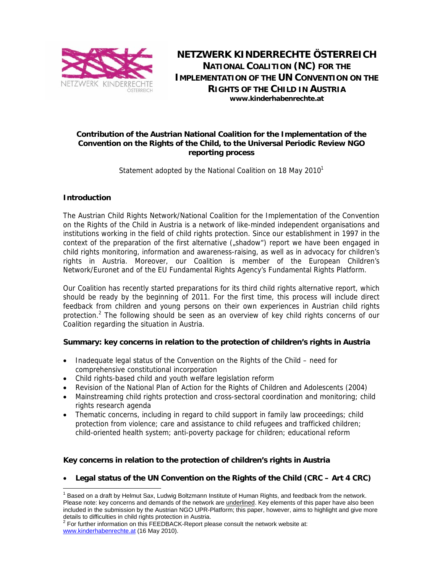

**NETZWERK KINDERRECHTE ÖSTERREICH NATIONAL COALITION (NC) FOR THE IMPLEMENTATION OF THE UN CONVENTION ON THE RIGHTS OF THE CHILD IN AUSTRIA www.kinderhabenrechte.at** 

#### **Contribution of the Austrian National Coalition for the Implementation of the Convention on the Rights of the Child, to the Universal Periodic Review NGO reporting process**

Statement adopted by the National Coalition on 18 May 2010<sup>1</sup>

# **Introduction**

-

The Austrian Child Rights Network/National Coalition for the Implementation of the Convention on the Rights of the Child in Austria is a network of like-minded independent organisations and institutions working in the field of child rights protection. Since our establishment in 1997 in the context of the preparation of the first alternative ("shadow") report we have been engaged in child rights monitoring, information and awareness-raising, as well as in advocacy for children's rights in Austria. Moreover, our Coalition is member of the European Children's Network/Euronet and of the EU Fundamental Rights Agency's Fundamental Rights Platform.

Our Coalition has recently started preparations for its third child rights alternative report, which should be ready by the beginning of 2011. For the first time, this process will include direct feedback from children and young persons on their own experiences in Austrian child rights protection.<sup>2</sup> The following should be seen as an overview of key child rights concerns of our Coalition regarding the situation in Austria.

# **Summary: key concerns in relation to the protection of children's rights in Austria**

- Inadequate legal status of the Convention on the Rights of the Child need for comprehensive constitutional incorporation
- Child rights-based child and youth welfare legislation reform
- Revision of the National Plan of Action for the Rights of Children and Adolescents (2004)
- Mainstreaming child rights protection and cross-sectoral coordination and monitoring; child rights research agenda
- Thematic concerns, including in regard to child support in family law proceedings; child protection from violence; care and assistance to child refugees and trafficked children; child-oriented health system; anti-poverty package for children; educational reform

# **Key concerns in relation to the protection of children's rights in Austria**

• **Legal status of the UN Convention on the Rights of the Child (CRC – Art 4 CRC)** 

<sup>&</sup>lt;sup>1</sup> Based on a draft by Helmut Sax, Ludwig Boltzmann Institute of Human Rights, and feedback from the network. Please note: key concerns and demands of the network are *underlined*. Key elements of this paper have also been included in the submission by the Austrian NGO UPR-Platform; this paper, however, aims to highlight and give more details to difficulties in child rights protection in Austria.

 $2$  For further information on this FEEDBACK-Report please consult the network website at: www.kinderhabenrechte.at (16 May 2010).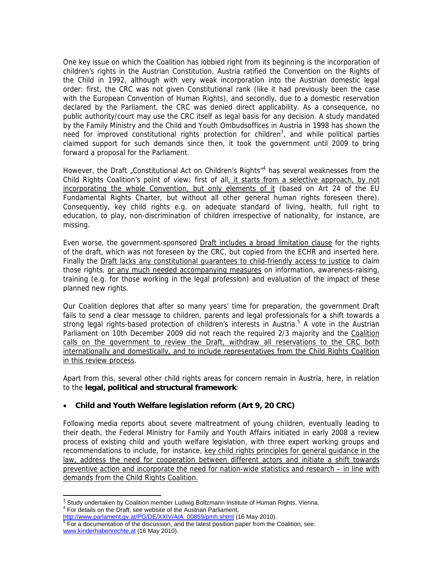One key issue on which the Coalition has lobbied right from its beginning is the incorporation of children's rights in the Austrian Constitution. Austria ratified the Convention on the Rights of the Child in 1992, although with very weak incorporation into the Austrian domestic legal order: first, the CRC was not given Constitutional rank (like it had previously been the case with the European Convention of Human Rights), and secondly, due to a domestic reservation declared by the Parliament, the CRC was denied direct applicability. As a consequence, no public authority/court may use the CRC itself as legal basis for any decision. A study mandated by the Family Ministry and the Child and Youth Ombudsoffices in Austria in 1998 has shown the need for improved constitutional rights protection for children<sup>3</sup>, and while political parties claimed support for such demands since then, it took the government until 2009 to bring forward a proposal for the Parliament.

However, the Draft "Constitutional Act on Children's Rights<sup>"4</sup> has several weaknesses from the Child Rights Coalition's point of view: first of all, it starts from a selective approach, by not incorporating the whole Convention, but only elements of it (based on Art 24 of the EU Fundamental Rights Charter, but without all other general human rights foreseen there). Consequently, key child rights e.g. on adequate standard of living, health, full right to education, to play, non-discrimination of children irrespective of nationality, for instance, are missing.

Even worse, the government-sponsored **Draft includes a broad limitation clause** for the rights of the draft, which was not foreseen by the CRC, but copied from the ECHR and inserted here. Finally the Draft lacks any constitutional guarantees to child-friendly access to justice to claim those rights, or any much needed accompanying measures on information, awareness-raising, training (e.g. for those working in the legal profession) and evaluation of the impact of these planned new rights.

Our Coalition deplores that after so many years' time for preparation, the government Draft fails to send a clear message to children, parents and legal professionals for a shift towards a strong legal rights-based protection of children's interests in Austria.<sup>5</sup> A vote in the Austrian Parliament on 10th December 2009 did not reach the required 2/3 majority and the Coalition calls on the government to review the Draft, withdraw all reservations to the CRC both internationally and domestically, and to include representatives from the Child Rights Coalition in this review process.

Apart from this, several other child rights areas for concern remain in Austria, here, in relation to the **legal, political and structural framework**:

# • **Child and Youth Welfare legislation reform (Art 9, 20 CRC)**

Following media reports about severe maltreatment of young children, eventually leading to their death, the Federal Ministry for Family and Youth Affairs initiated in early 2008 a review process of existing child and youth welfare legislation, with three expert working groups and recommendations to include, for instance, key child rights principles for general guidance in the law, address the need for cooperation between different actors and initiate a shift towards preventive action and incorporate the need for nation-wide statistics and research – in line with demands from the Child Rights Coalition.

 3 Study undertaken by Coalition member Ludwig Boltzmann Institute of Human Rights, Vienna. 4 For details on the Draft, see website of the Austrian Parliament,

<sup>&</sup>lt;u>http://www.parlament.gv.at/PG/DE/XXIV/A/A\_00859/pmh.shtml</u> (16 May 2010).<br><sup>5</sup> For a documentation of the discussion, and the latest position paper from the Coalition, see: www.kinderhabenrechte.at (16 May 2010).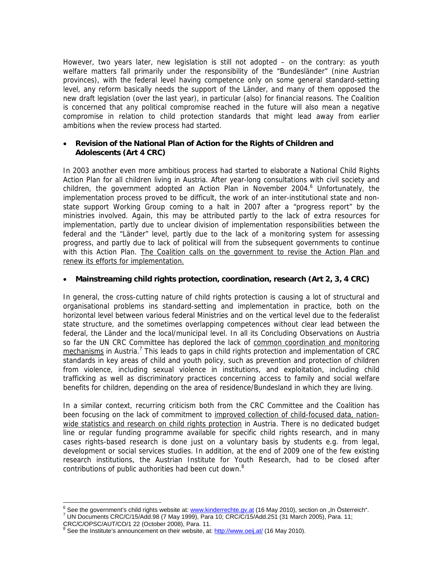However, two years later, new legislation is still not adopted – on the contrary: as youth welfare matters fall primarily under the responsibility of the "Bundesländer" (nine Austrian provinces), with the federal level having competence only on some general standard-setting level, any reform basically needs the support of the Länder, and many of them opposed the new draft legislation (over the last year), in particular (also) for financial reasons. The Coalition is concerned that any political compromise reached in the future will also mean a negative compromise in relation to child protection standards that might lead away from earlier ambitions when the review process had started.

#### • **Revision of the National Plan of Action for the Rights of Children and Adolescents (Art 4 CRC)**

In 2003 another even more ambitious process had started to elaborate a National Child Rights Action Plan for all children living in Austria. After year-long consultations with civil society and children, the government adopted an Action Plan in November 2004.<sup>6</sup> Unfortunately, the implementation process proved to be difficult, the work of an inter-institutional state and nonstate support Working Group coming to a halt in 2007 after a "progress report" by the ministries involved. Again, this may be attributed partly to the lack of extra resources for implementation, partly due to unclear division of implementation responsibilities between the federal and the "Länder" level, partly due to the lack of a monitoring system for assessing progress, and partly due to lack of political will from the subsequent governments to continue with this Action Plan. The Coalition calls on the government to revise the Action Plan and renew its efforts for implementation.

# • **Mainstreaming child rights protection, coordination, research (Art 2, 3, 4 CRC)**

In general, the cross-cutting nature of child rights protection is causing a lot of structural and organisational problems ins standard-setting and implementation in practice, both on the horizontal level between various federal Ministries and on the vertical level due to the federalist state structure, and the sometimes overlapping competences without clear lead between the federal, the Länder and the local/municipal level. In all its Concluding Observations on Austria so far the UN CRC Committee has deplored the lack of common coordination and monitoring  $mechanisms$  in Austria.<sup>7</sup> This leads to gaps in child rights protection and implementation of CRC standards in key areas of child and youth policy, such as prevention and protection of children from violence, including sexual violence in institutions, and exploitation, including child trafficking as well as discriminatory practices concerning access to family and social welfare benefits for children, depending on the area of residence/Bundesland in which they are living.

In a similar context, recurring criticism both from the CRC Committee and the Coalition has been focusing on the lack of commitment to improved collection of child-focused data, nationwide statistics and research on child rights protection in Austria. There is no dedicated budget line or regular funding programme available for specific child rights research, and in many cases rights-based research is done just on a voluntary basis by students e.g. from legal, development or social services studies. In addition, at the end of 2009 one of the few existing research institutions, the Austrian Institute for Youth Research, had to be closed after contributions of public authorities had been cut down.<sup>8</sup>

 6 See the government's child rights website at: www.kinderrechte.gv.at (16 May 2010), section on "In Österreich". 7

UN Documents CRC/C/15/Add.98 (7 May 1999), Para 10; CRC/C/15/Add.251 (31 March 2005), Para. 11;

CRC/C/OPSC/AUT/CO/1 22 (October 2008), Para. 11.<br><sup>8</sup> See the Institute's announcement on their website, at: <u>http://www.oeij.at/</u> (16 May 2010).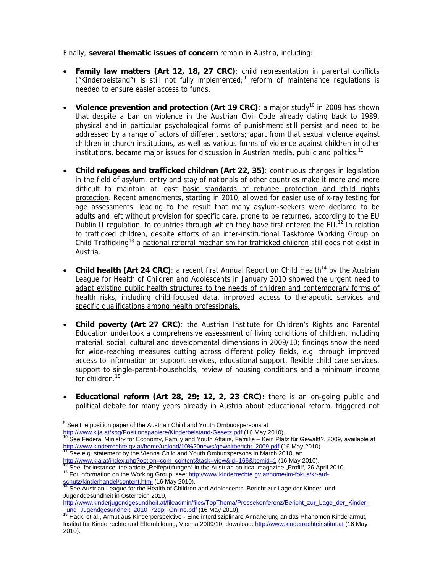Finally, **several thematic issues of concern** remain in Austria, including:

- **Family law matters (Art 12, 18, 27 CRC)**: child representation in parental conflicts ("Kinderbeistand") is still not fully implemented;<sup>9</sup> reform of maintenance regulations is needed to ensure easier access to funds.
- Violence prevention and protection (Art 19 CRC): a major study<sup>10</sup> in 2009 has shown that despite a ban on violence in the Austrian Civil Code already dating back to 1989, physical and in particular psychological forms of punishment still persist and need to be addressed by a range of actors of different sectors; apart from that sexual violence against children in church institutions, as well as various forms of violence against children in other institutions, became major issues for discussion in Austrian media, public and politics.<sup>11</sup>
- **Child refugees and trafficked children (Art 22, 35)**: continuous changes in legislation in the field of asylum, entry and stay of nationals of other countries make it more and more difficult to maintain at least basic standards of refugee protection and child rights protection. Recent amendments, starting in 2010, allowed for easier use of x-ray testing for age assessments, leading to the result that many asylum-seekers were declared to be adults and left without provision for specific care, prone to be returned, according to the EU Dublin II regulation, to countries through which they have first entered the EU.<sup>12</sup> In relation to trafficked children, despite efforts of an inter-institutional Taskforce Working Group on Child Trafficking<sup>13</sup> a national referral mechanism for trafficked children still does not exist in Austria.
- **Child health (Art 24 CRC)**: a recent first Annual Report on Child Health<sup>14</sup> by the Austrian League for Health of Children and Adolescents in January 2010 showed the urgent need to adapt existing public health structures to the needs of children and contemporary forms of health risks, including child-focused data, improved access to therapeutic services and specific qualifications among health professionals.
- **Child poverty (Art 27 CRC)**: the Austrian Institute for Children's Rights and Parental Education undertook a comprehensive assessment of living conditions of children, including material, social, cultural and developmental dimensions in 2009/10; findings show the need for wide-reaching measures cutting across different policy fields, e.g. through improved access to information on support services, educational support, flexible child care services, support to single-parent-households, review of housing conditions and a minimum income for children.<sup>15</sup>
- **Educational reform (Art 28, 29; 12, 2, 23 CRC):** there is an on-going public and political debate for many years already in Austria about educational reform, triggered not

-

 $9^9$  See the position paper of the Austrian Child and Youth Ombudspersons at

http://www.kija.at/sbg/Positionspapiere/Kinderbeistand-Gesetz.pdf (16 May 2010).<br><sup>10</sup> See Federal Ministry for Economy, Family and Youth Affairs, Familie – Kein Platz für Gewalt!?, 2009, available at http://www.kinderrechte.gv.at/home/upload/10%20news/gewaltbericht\_2009.pdf (16 May 2010).<br><sup>11</sup> See e.g. statement by the Vienna Child and Youth Ombudspersons in March 2010, at:

http://www.kja.at/index.php?option=com\_content&task=view&id=166&Itemid=1 (16 May 2010).<br><sup>12</sup> See, for instance, the article "Reifeprüfungen" in the Austrian political magazine "Profil", 26 April 2010.<br><sup>13</sup> For information schutz/kinderhandel/content.html (16 May 2010).<br><sup>14</sup> See Austrian League for the Health of Children and Adolescents, Bericht zur Lage der Kinder- und

Jugendgesundheit in Österreich 2010,

http://www.kinderjugendgesundheit.at/fileadmin/files/TopThema/Pressekonferenz/Bericht\_zur\_Lage\_der\_Kinderund Jugendgesundheit 2010\_72dpi\_Online.pdf (16 May 2010). 15 Hackl et al., Armut aus Kinderperspektive - Eine interdisziplinäre Annäherung an das Phänomen Kinderarmut,

Institut für Kinderrechte und Elternbildung, Vienna 2009/10; download: http://www.kinderrechteinstitut.at (16 May 2010).